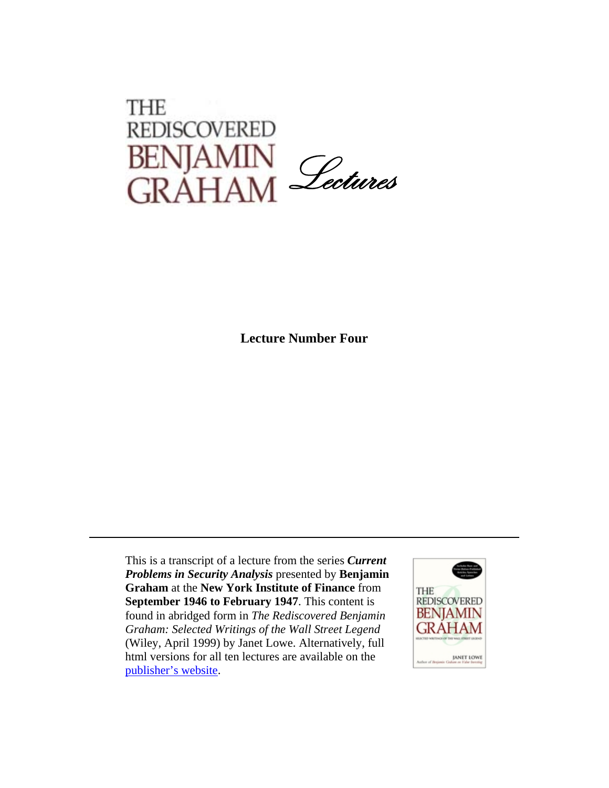## THE **REDISCOVERED** BENJAMIN<br>GRAHAM *Lectures*

**Lecture Number Four**

This is a transcript of a lecture from the series *Current Problems in Security Analysis* presented by **Benjamin Graham** at the **New York Institute of Finance** from **September 1946 to February 1947**. This content is found in abridged form in *The Rediscovered Benjamin Graham: Selected Writings of the Wall Street Legend*  (Wiley, April 1999) by Janet Lowe. Alternatively, full html versions for all ten lectures are available on the [publisher's website](http://www.wiley.com/legacy/products/subject/finance/bgraham/index.html).

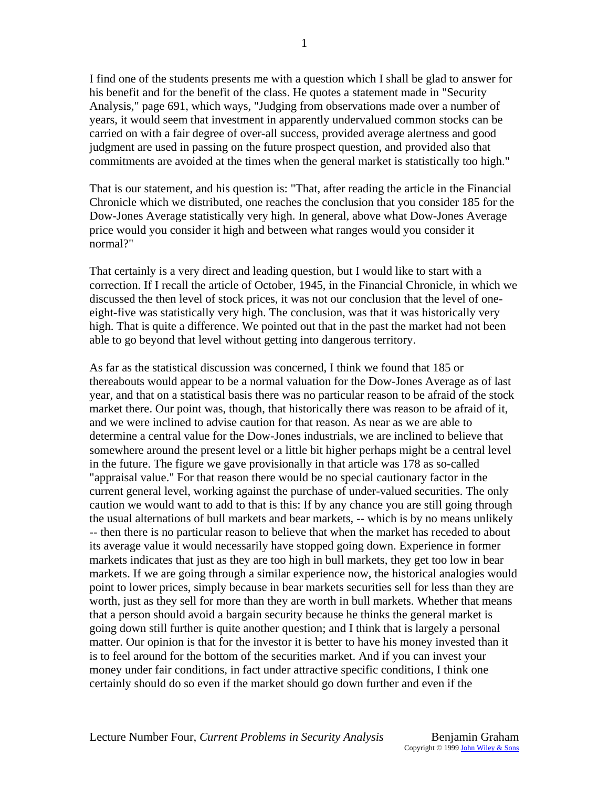I find one of the students presents me with a question which I shall be glad to answer for his benefit and for the benefit of the class. He quotes a statement made in "Security Analysis," page 691, which ways, "Judging from observations made over a number of years, it would seem that investment in apparently undervalued common stocks can be carried on with a fair degree of over-all success, provided average alertness and good judgment are used in passing on the future prospect question, and provided also that commitments are avoided at the times when the general market is statistically too high."

That is our statement, and his question is: "That, after reading the article in the Financial Chronicle which we distributed, one reaches the conclusion that you consider 185 for the Dow-Jones Average statistically very high. In general, above what Dow-Jones Average price would you consider it high and between what ranges would you consider it normal?"

That certainly is a very direct and leading question, but I would like to start with a correction. If I recall the article of October, 1945, in the Financial Chronicle, in which we discussed the then level of stock prices, it was not our conclusion that the level of oneeight-five was statistically very high. The conclusion, was that it was historically very high. That is quite a difference. We pointed out that in the past the market had not been able to go beyond that level without getting into dangerous territory.

As far as the statistical discussion was concerned, I think we found that 185 or thereabouts would appear to be a normal valuation for the Dow-Jones Average as of last year, and that on a statistical basis there was no particular reason to be afraid of the stock market there. Our point was, though, that historically there was reason to be afraid of it, and we were inclined to advise caution for that reason. As near as we are able to determine a central value for the Dow-Jones industrials, we are inclined to believe that somewhere around the present level or a little bit higher perhaps might be a central level in the future. The figure we gave provisionally in that article was 178 as so-called "appraisal value." For that reason there would be no special cautionary factor in the current general level, working against the purchase of under-valued securities. The only caution we would want to add to that is this: If by any chance you are still going through the usual alternations of bull markets and bear markets, -- which is by no means unlikely -- then there is no particular reason to believe that when the market has receded to about its average value it would necessarily have stopped going down. Experience in former markets indicates that just as they are too high in bull markets, they get too low in bear markets. If we are going through a similar experience now, the historical analogies would point to lower prices, simply because in bear markets securities sell for less than they are worth, just as they sell for more than they are worth in bull markets. Whether that means that a person should avoid a bargain security because he thinks the general market is going down still further is quite another question; and I think that is largely a personal matter. Our opinion is that for the investor it is better to have his money invested than it is to feel around for the bottom of the securities market. And if you can invest your money under fair conditions, in fact under attractive specific conditions, I think one certainly should do so even if the market should go down further and even if the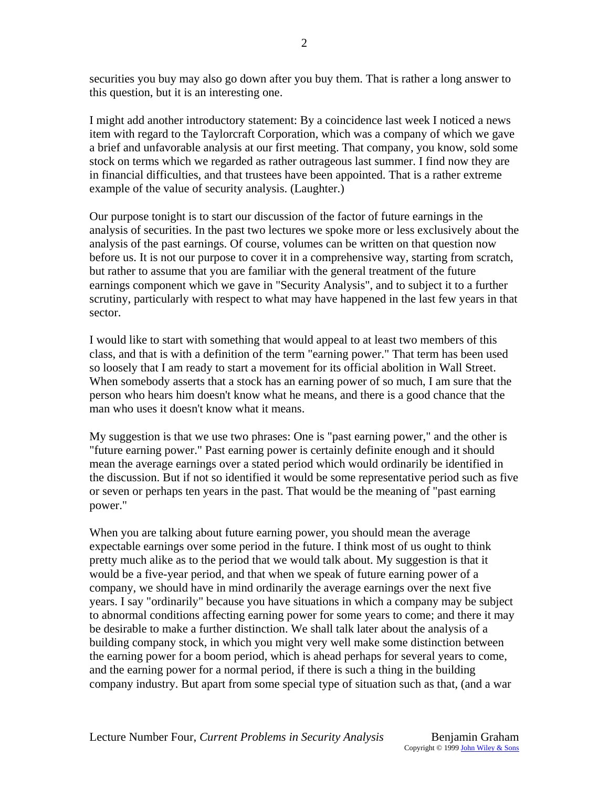securities you buy may also go down after you buy them. That is rather a long answer to this question, but it is an interesting one.

I might add another introductory statement: By a coincidence last week I noticed a news item with regard to the Taylorcraft Corporation, which was a company of which we gave a brief and unfavorable analysis at our first meeting. That company, you know, sold some stock on terms which we regarded as rather outrageous last summer. I find now they are in financial difficulties, and that trustees have been appointed. That is a rather extreme example of the value of security analysis. (Laughter.)

Our purpose tonight is to start our discussion of the factor of future earnings in the analysis of securities. In the past two lectures we spoke more or less exclusively about the analysis of the past earnings. Of course, volumes can be written on that question now before us. It is not our purpose to cover it in a comprehensive way, starting from scratch, but rather to assume that you are familiar with the general treatment of the future earnings component which we gave in "Security Analysis", and to subject it to a further scrutiny, particularly with respect to what may have happened in the last few years in that sector.

I would like to start with something that would appeal to at least two members of this class, and that is with a definition of the term "earning power." That term has been used so loosely that I am ready to start a movement for its official abolition in Wall Street. When somebody asserts that a stock has an earning power of so much, I am sure that the person who hears him doesn't know what he means, and there is a good chance that the man who uses it doesn't know what it means.

My suggestion is that we use two phrases: One is "past earning power," and the other is "future earning power." Past earning power is certainly definite enough and it should mean the average earnings over a stated period which would ordinarily be identified in the discussion. But if not so identified it would be some representative period such as five or seven or perhaps ten years in the past. That would be the meaning of "past earning power."

When you are talking about future earning power, you should mean the average expectable earnings over some period in the future. I think most of us ought to think pretty much alike as to the period that we would talk about. My suggestion is that it would be a five-year period, and that when we speak of future earning power of a company, we should have in mind ordinarily the average earnings over the next five years. I say "ordinarily" because you have situations in which a company may be subject to abnormal conditions affecting earning power for some years to come; and there it may be desirable to make a further distinction. We shall talk later about the analysis of a building company stock, in which you might very well make some distinction between the earning power for a boom period, which is ahead perhaps for several years to come, and the earning power for a normal period, if there is such a thing in the building company industry. But apart from some special type of situation such as that, (and a war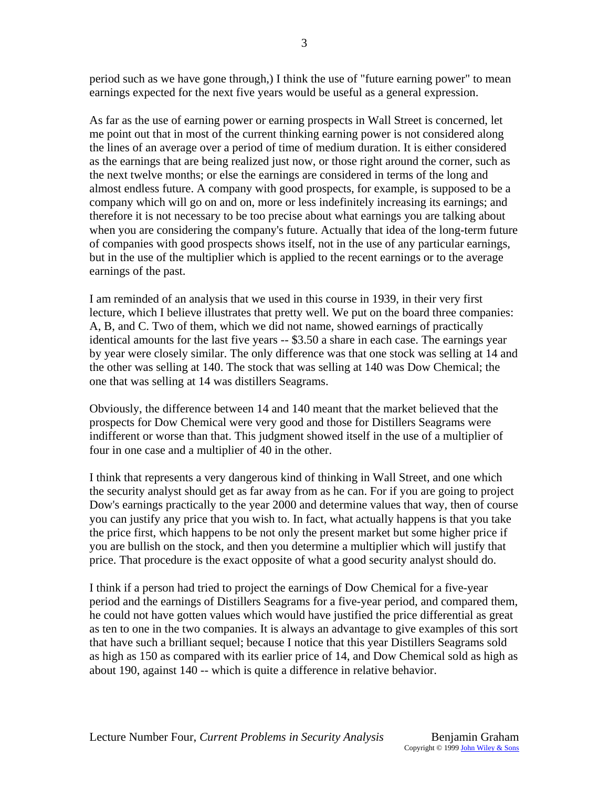period such as we have gone through,) I think the use of "future earning power" to mean earnings expected for the next five years would be useful as a general expression.

3

As far as the use of earning power or earning prospects in Wall Street is concerned, let me point out that in most of the current thinking earning power is not considered along the lines of an average over a period of time of medium duration. It is either considered as the earnings that are being realized just now, or those right around the corner, such as the next twelve months; or else the earnings are considered in terms of the long and almost endless future. A company with good prospects, for example, is supposed to be a company which will go on and on, more or less indefinitely increasing its earnings; and therefore it is not necessary to be too precise about what earnings you are talking about when you are considering the company's future. Actually that idea of the long-term future of companies with good prospects shows itself, not in the use of any particular earnings, but in the use of the multiplier which is applied to the recent earnings or to the average earnings of the past.

I am reminded of an analysis that we used in this course in 1939, in their very first lecture, which I believe illustrates that pretty well. We put on the board three companies: A, B, and C. Two of them, which we did not name, showed earnings of practically identical amounts for the last five years -- \$3.50 a share in each case. The earnings year by year were closely similar. The only difference was that one stock was selling at 14 and the other was selling at 140. The stock that was selling at 140 was Dow Chemical; the one that was selling at 14 was distillers Seagrams.

Obviously, the difference between 14 and 140 meant that the market believed that the prospects for Dow Chemical were very good and those for Distillers Seagrams were indifferent or worse than that. This judgment showed itself in the use of a multiplier of four in one case and a multiplier of 40 in the other.

I think that represents a very dangerous kind of thinking in Wall Street, and one which the security analyst should get as far away from as he can. For if you are going to project Dow's earnings practically to the year 2000 and determine values that way, then of course you can justify any price that you wish to. In fact, what actually happens is that you take the price first, which happens to be not only the present market but some higher price if you are bullish on the stock, and then you determine a multiplier which will justify that price. That procedure is the exact opposite of what a good security analyst should do.

I think if a person had tried to project the earnings of Dow Chemical for a five-year period and the earnings of Distillers Seagrams for a five-year period, and compared them, he could not have gotten values which would have justified the price differential as great as ten to one in the two companies. It is always an advantage to give examples of this sort that have such a brilliant sequel; because I notice that this year Distillers Seagrams sold as high as 150 as compared with its earlier price of 14, and Dow Chemical sold as high as about 190, against 140 -- which is quite a difference in relative behavior.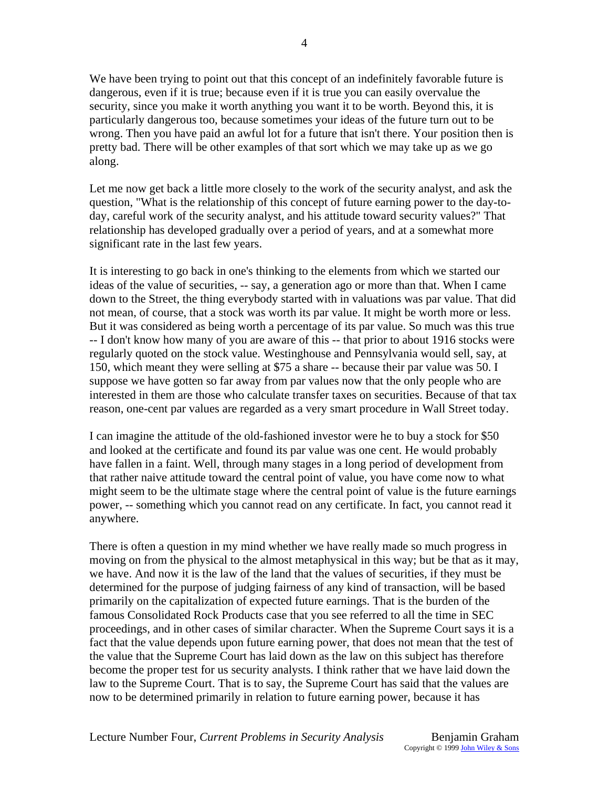We have been trying to point out that this concept of an indefinitely favorable future is dangerous, even if it is true; because even if it is true you can easily overvalue the security, since you make it worth anything you want it to be worth. Beyond this, it is particularly dangerous too, because sometimes your ideas of the future turn out to be wrong. Then you have paid an awful lot for a future that isn't there. Your position then is pretty bad. There will be other examples of that sort which we may take up as we go along.

Let me now get back a little more closely to the work of the security analyst, and ask the question, "What is the relationship of this concept of future earning power to the day-today, careful work of the security analyst, and his attitude toward security values?" That relationship has developed gradually over a period of years, and at a somewhat more significant rate in the last few years.

It is interesting to go back in one's thinking to the elements from which we started our ideas of the value of securities, -- say, a generation ago or more than that. When I came down to the Street, the thing everybody started with in valuations was par value. That did not mean, of course, that a stock was worth its par value. It might be worth more or less. But it was considered as being worth a percentage of its par value. So much was this true -- I don't know how many of you are aware of this -- that prior to about 1916 stocks were regularly quoted on the stock value. Westinghouse and Pennsylvania would sell, say, at 150, which meant they were selling at \$75 a share -- because their par value was 50. I suppose we have gotten so far away from par values now that the only people who are interested in them are those who calculate transfer taxes on securities. Because of that tax reason, one-cent par values are regarded as a very smart procedure in Wall Street today.

I can imagine the attitude of the old-fashioned investor were he to buy a stock for \$50 and looked at the certificate and found its par value was one cent. He would probably have fallen in a faint. Well, through many stages in a long period of development from that rather naive attitude toward the central point of value, you have come now to what might seem to be the ultimate stage where the central point of value is the future earnings power, -- something which you cannot read on any certificate. In fact, you cannot read it anywhere.

There is often a question in my mind whether we have really made so much progress in moving on from the physical to the almost metaphysical in this way; but be that as it may, we have. And now it is the law of the land that the values of securities, if they must be determined for the purpose of judging fairness of any kind of transaction, will be based primarily on the capitalization of expected future earnings. That is the burden of the famous Consolidated Rock Products case that you see referred to all the time in SEC proceedings, and in other cases of similar character. When the Supreme Court says it is a fact that the value depends upon future earning power, that does not mean that the test of the value that the Supreme Court has laid down as the law on this subject has therefore become the proper test for us security analysts. I think rather that we have laid down the law to the Supreme Court. That is to say, the Supreme Court has said that the values are now to be determined primarily in relation to future earning power, because it has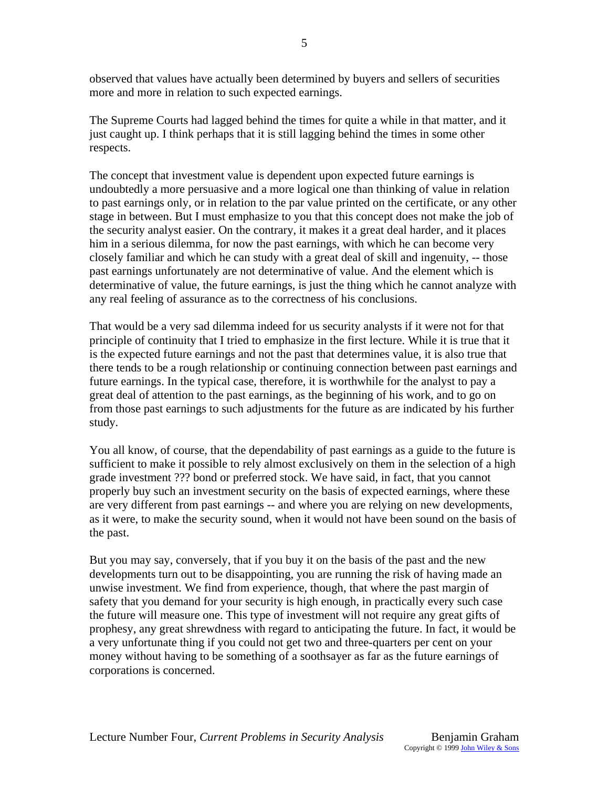observed that values have actually been determined by buyers and sellers of securities more and more in relation to such expected earnings.

The Supreme Courts had lagged behind the times for quite a while in that matter, and it just caught up. I think perhaps that it is still lagging behind the times in some other respects.

The concept that investment value is dependent upon expected future earnings is undoubtedly a more persuasive and a more logical one than thinking of value in relation to past earnings only, or in relation to the par value printed on the certificate, or any other stage in between. But I must emphasize to you that this concept does not make the job of the security analyst easier. On the contrary, it makes it a great deal harder, and it places him in a serious dilemma, for now the past earnings, with which he can become very closely familiar and which he can study with a great deal of skill and ingenuity, -- those past earnings unfortunately are not determinative of value. And the element which is determinative of value, the future earnings, is just the thing which he cannot analyze with any real feeling of assurance as to the correctness of his conclusions.

That would be a very sad dilemma indeed for us security analysts if it were not for that principle of continuity that I tried to emphasize in the first lecture. While it is true that it is the expected future earnings and not the past that determines value, it is also true that there tends to be a rough relationship or continuing connection between past earnings and future earnings. In the typical case, therefore, it is worthwhile for the analyst to pay a great deal of attention to the past earnings, as the beginning of his work, and to go on from those past earnings to such adjustments for the future as are indicated by his further study.

You all know, of course, that the dependability of past earnings as a guide to the future is sufficient to make it possible to rely almost exclusively on them in the selection of a high grade investment ??? bond or preferred stock. We have said, in fact, that you cannot properly buy such an investment security on the basis of expected earnings, where these are very different from past earnings -- and where you are relying on new developments, as it were, to make the security sound, when it would not have been sound on the basis of the past.

But you may say, conversely, that if you buy it on the basis of the past and the new developments turn out to be disappointing, you are running the risk of having made an unwise investment. We find from experience, though, that where the past margin of safety that you demand for your security is high enough, in practically every such case the future will measure one. This type of investment will not require any great gifts of prophesy, any great shrewdness with regard to anticipating the future. In fact, it would be a very unfortunate thing if you could not get two and three-quarters per cent on your money without having to be something of a soothsayer as far as the future earnings of corporations is concerned.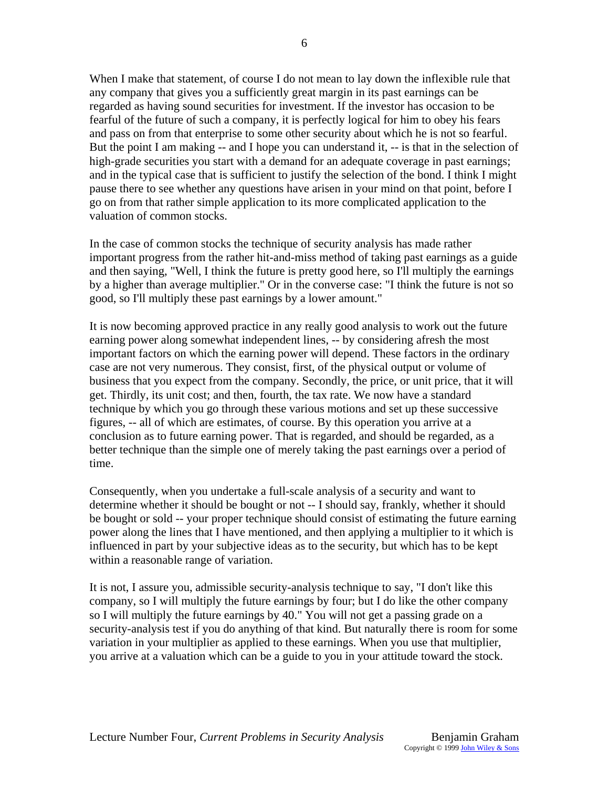When I make that statement, of course I do not mean to lay down the inflexible rule that any company that gives you a sufficiently great margin in its past earnings can be regarded as having sound securities for investment. If the investor has occasion to be fearful of the future of such a company, it is perfectly logical for him to obey his fears and pass on from that enterprise to some other security about which he is not so fearful. But the point I am making -- and I hope you can understand it, -- is that in the selection of high-grade securities you start with a demand for an adequate coverage in past earnings; and in the typical case that is sufficient to justify the selection of the bond. I think I might pause there to see whether any questions have arisen in your mind on that point, before I go on from that rather simple application to its more complicated application to the valuation of common stocks.

In the case of common stocks the technique of security analysis has made rather important progress from the rather hit-and-miss method of taking past earnings as a guide and then saying, "Well, I think the future is pretty good here, so I'll multiply the earnings by a higher than average multiplier." Or in the converse case: "I think the future is not so good, so I'll multiply these past earnings by a lower amount."

It is now becoming approved practice in any really good analysis to work out the future earning power along somewhat independent lines, -- by considering afresh the most important factors on which the earning power will depend. These factors in the ordinary case are not very numerous. They consist, first, of the physical output or volume of business that you expect from the company. Secondly, the price, or unit price, that it will get. Thirdly, its unit cost; and then, fourth, the tax rate. We now have a standard technique by which you go through these various motions and set up these successive figures, -- all of which are estimates, of course. By this operation you arrive at a conclusion as to future earning power. That is regarded, and should be regarded, as a better technique than the simple one of merely taking the past earnings over a period of time.

Consequently, when you undertake a full-scale analysis of a security and want to determine whether it should be bought or not -- I should say, frankly, whether it should be bought or sold -- your proper technique should consist of estimating the future earning power along the lines that I have mentioned, and then applying a multiplier to it which is influenced in part by your subjective ideas as to the security, but which has to be kept within a reasonable range of variation.

It is not, I assure you, admissible security-analysis technique to say, "I don't like this company, so I will multiply the future earnings by four; but I do like the other company so I will multiply the future earnings by 40." You will not get a passing grade on a security-analysis test if you do anything of that kind. But naturally there is room for some variation in your multiplier as applied to these earnings. When you use that multiplier, you arrive at a valuation which can be a guide to you in your attitude toward the stock.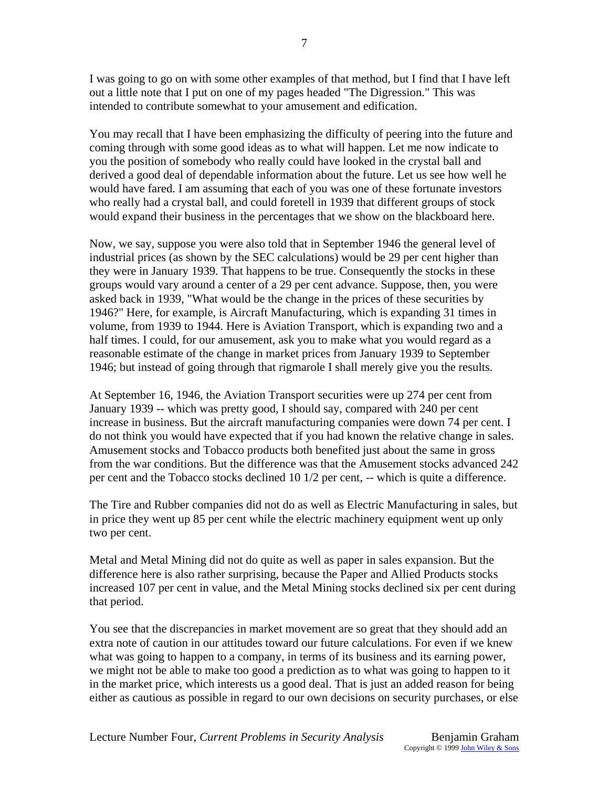I was going to go on with some other examples of that method, but I find that I have left out a little note that I put on one of my pages headed "The Digression." This was intended to contribute somewhat to your amusement and edification.

You may recall that I have been emphasizing the difficulty of peering into the future and coming through with some good ideas as to what will happen. Let me now indicate to you the position of somebody who really could have looked in the crystal ball and derived a good deal of dependable information about the future. Let us see how well he would have fared. I am assuming that each of you was one of these fortunate investors who really had a crystal ball, and could foretell in 1939 that different groups of stock would expand their business in the percentages that we show on the blackboard here.

Now, we say, suppose you were also told that in September 1946 the general level of industrial prices (as shown by the SEC calculations) would be 29 per cent higher than they were in January 1939. That happens to be true. Consequently the stocks in these groups would vary around a center of a 29 per cent advance. Suppose, then, you were asked back in 1939, "What would be the change in the prices of these securities by 1946?" Here, for example, is Aircraft Manufacturing, which is expanding 31 times in volume, from 1939 to 1944. Here is Aviation Transport, which is expanding two and a half times. I could, for our amusement, ask you to make what you would regard as a reasonable estimate of the change in market prices from January 1939 to September 1946; but instead of going through that rigmarole I shall merely give you the results.

At September 16, 1946, the Aviation Transport securities were up 274 per cent from January 1939 -- which was pretty good, I should say, compared with 240 per cent increase in business. But the aircraft manufacturing companies were down 74 per cent. I do not think you would have expected that if you had known the relative change in sales. Amusement stocks and Tobacco products both benefited just about the same in gross from the war conditions. But the difference was that the Amusement stocks advanced 242 per cent and the Tobacco stocks declined 10 1/2 per cent, -- which is quite a difference.

The Tire and Rubber companies did not do as well as Electric Manufacturing in sales, but in price they went up 85 per cent while the electric machinery equipment went up only two per cent.

Metal and Metal Mining did not do quite as well as paper in sales expansion. But the difference here is also rather surprising, because the Paper and Allied Products stocks increased 107 per cent in value, and the Metal Mining stocks declined six per cent during that period.

You see that the discrepancies in market movement are so great that they should add an extra note of caution in our attitudes toward our future calculations. For even if we knew what was going to happen to a company, in terms of its business and its earning power, we might not be able to make too good a prediction as to what was going to happen to it in the market price, which interests us a good deal. That is just an added reason for being either as cautious as possible in regard to our own decisions on security purchases, or else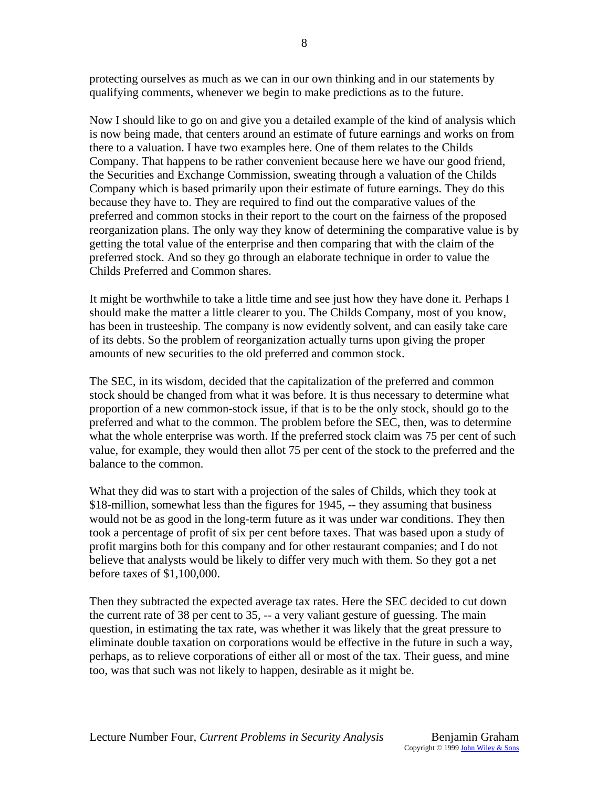protecting ourselves as much as we can in our own thinking and in our statements by qualifying comments, whenever we begin to make predictions as to the future.

Now I should like to go on and give you a detailed example of the kind of analysis which is now being made, that centers around an estimate of future earnings and works on from there to a valuation. I have two examples here. One of them relates to the Childs Company. That happens to be rather convenient because here we have our good friend, the Securities and Exchange Commission, sweating through a valuation of the Childs Company which is based primarily upon their estimate of future earnings. They do this because they have to. They are required to find out the comparative values of the preferred and common stocks in their report to the court on the fairness of the proposed reorganization plans. The only way they know of determining the comparative value is by getting the total value of the enterprise and then comparing that with the claim of the preferred stock. And so they go through an elaborate technique in order to value the Childs Preferred and Common shares.

It might be worthwhile to take a little time and see just how they have done it. Perhaps I should make the matter a little clearer to you. The Childs Company, most of you know, has been in trusteeship. The company is now evidently solvent, and can easily take care of its debts. So the problem of reorganization actually turns upon giving the proper amounts of new securities to the old preferred and common stock.

The SEC, in its wisdom, decided that the capitalization of the preferred and common stock should be changed from what it was before. It is thus necessary to determine what proportion of a new common-stock issue, if that is to be the only stock, should go to the preferred and what to the common. The problem before the SEC, then, was to determine what the whole enterprise was worth. If the preferred stock claim was 75 per cent of such value, for example, they would then allot 75 per cent of the stock to the preferred and the balance to the common.

What they did was to start with a projection of the sales of Childs, which they took at \$18-million, somewhat less than the figures for 1945, -- they assuming that business would not be as good in the long-term future as it was under war conditions. They then took a percentage of profit of six per cent before taxes. That was based upon a study of profit margins both for this company and for other restaurant companies; and I do not believe that analysts would be likely to differ very much with them. So they got a net before taxes of \$1,100,000.

Then they subtracted the expected average tax rates. Here the SEC decided to cut down the current rate of 38 per cent to 35, -- a very valiant gesture of guessing. The main question, in estimating the tax rate, was whether it was likely that the great pressure to eliminate double taxation on corporations would be effective in the future in such a way, perhaps, as to relieve corporations of either all or most of the tax. Their guess, and mine too, was that such was not likely to happen, desirable as it might be.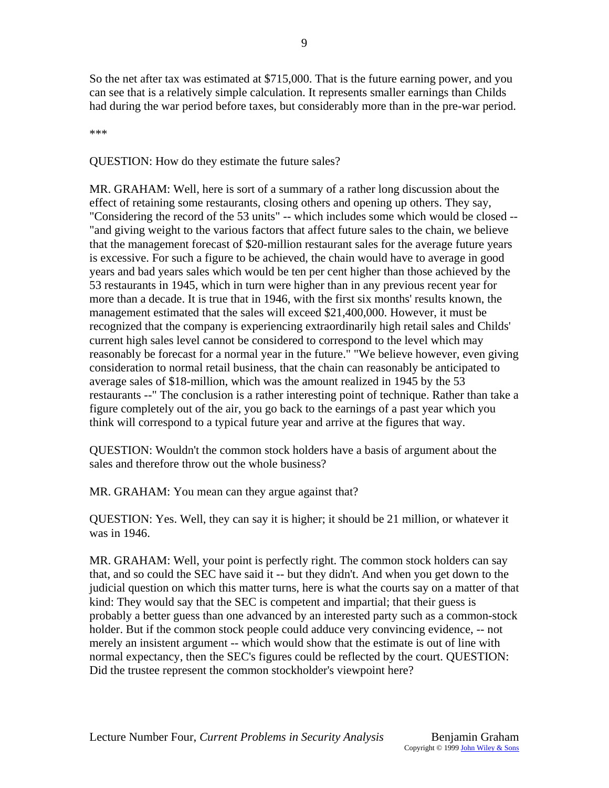So the net after tax was estimated at \$715,000. That is the future earning power, and you can see that is a relatively simple calculation. It represents smaller earnings than Childs had during the war period before taxes, but considerably more than in the pre-war period.

\*\*\*

QUESTION: How do they estimate the future sales?

MR. GRAHAM: Well, here is sort of a summary of a rather long discussion about the effect of retaining some restaurants, closing others and opening up others. They say, "Considering the record of the 53 units" -- which includes some which would be closed -- "and giving weight to the various factors that affect future sales to the chain, we believe that the management forecast of \$20-million restaurant sales for the average future years is excessive. For such a figure to be achieved, the chain would have to average in good years and bad years sales which would be ten per cent higher than those achieved by the 53 restaurants in 1945, which in turn were higher than in any previous recent year for more than a decade. It is true that in 1946, with the first six months' results known, the management estimated that the sales will exceed \$21,400,000. However, it must be recognized that the company is experiencing extraordinarily high retail sales and Childs' current high sales level cannot be considered to correspond to the level which may reasonably be forecast for a normal year in the future." "We believe however, even giving consideration to normal retail business, that the chain can reasonably be anticipated to average sales of \$18-million, which was the amount realized in 1945 by the 53 restaurants --" The conclusion is a rather interesting point of technique. Rather than take a figure completely out of the air, you go back to the earnings of a past year which you think will correspond to a typical future year and arrive at the figures that way.

QUESTION: Wouldn't the common stock holders have a basis of argument about the sales and therefore throw out the whole business?

MR. GRAHAM: You mean can they argue against that?

QUESTION: Yes. Well, they can say it is higher; it should be 21 million, or whatever it was in 1946.

MR. GRAHAM: Well, your point is perfectly right. The common stock holders can say that, and so could the SEC have said it -- but they didn't. And when you get down to the judicial question on which this matter turns, here is what the courts say on a matter of that kind: They would say that the SEC is competent and impartial; that their guess is probably a better guess than one advanced by an interested party such as a common-stock holder. But if the common stock people could adduce very convincing evidence, -- not merely an insistent argument -- which would show that the estimate is out of line with normal expectancy, then the SEC's figures could be reflected by the court. QUESTION: Did the trustee represent the common stockholder's viewpoint here?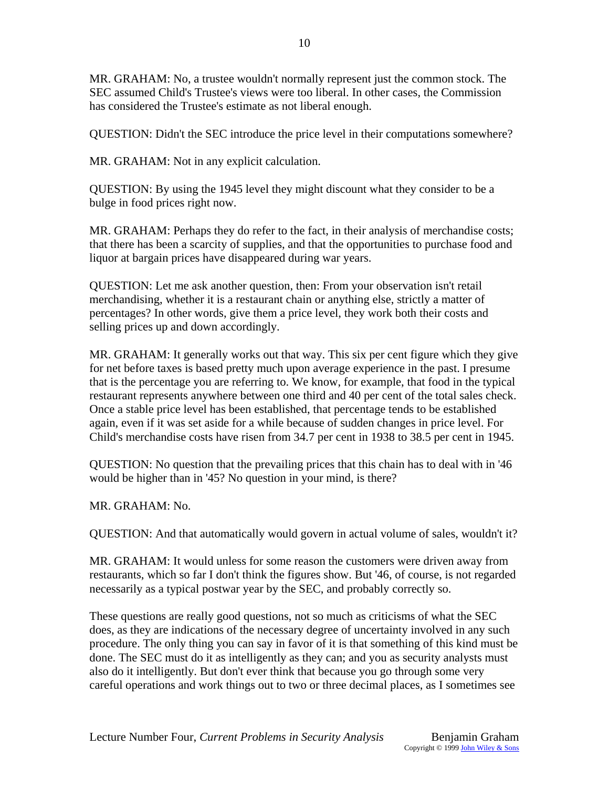MR. GRAHAM: No, a trustee wouldn't normally represent just the common stock. The SEC assumed Child's Trustee's views were too liberal. In other cases, the Commission has considered the Trustee's estimate as not liberal enough.

QUESTION: Didn't the SEC introduce the price level in their computations somewhere?

MR. GRAHAM: Not in any explicit calculation.

QUESTION: By using the 1945 level they might discount what they consider to be a bulge in food prices right now.

MR. GRAHAM: Perhaps they do refer to the fact, in their analysis of merchandise costs; that there has been a scarcity of supplies, and that the opportunities to purchase food and liquor at bargain prices have disappeared during war years.

QUESTION: Let me ask another question, then: From your observation isn't retail merchandising, whether it is a restaurant chain or anything else, strictly a matter of percentages? In other words, give them a price level, they work both their costs and selling prices up and down accordingly.

MR. GRAHAM: It generally works out that way. This six per cent figure which they give for net before taxes is based pretty much upon average experience in the past. I presume that is the percentage you are referring to. We know, for example, that food in the typical restaurant represents anywhere between one third and 40 per cent of the total sales check. Once a stable price level has been established, that percentage tends to be established again, even if it was set aside for a while because of sudden changes in price level. For Child's merchandise costs have risen from 34.7 per cent in 1938 to 38.5 per cent in 1945.

QUESTION: No question that the prevailing prices that this chain has to deal with in '46 would be higher than in '45? No question in your mind, is there?

MR. GRAHAM: No.

QUESTION: And that automatically would govern in actual volume of sales, wouldn't it?

MR. GRAHAM: It would unless for some reason the customers were driven away from restaurants, which so far I don't think the figures show. But '46, of course, is not regarded necessarily as a typical postwar year by the SEC, and probably correctly so.

These questions are really good questions, not so much as criticisms of what the SEC does, as they are indications of the necessary degree of uncertainty involved in any such procedure. The only thing you can say in favor of it is that something of this kind must be done. The SEC must do it as intelligently as they can; and you as security analysts must also do it intelligently. But don't ever think that because you go through some very careful operations and work things out to two or three decimal places, as I sometimes see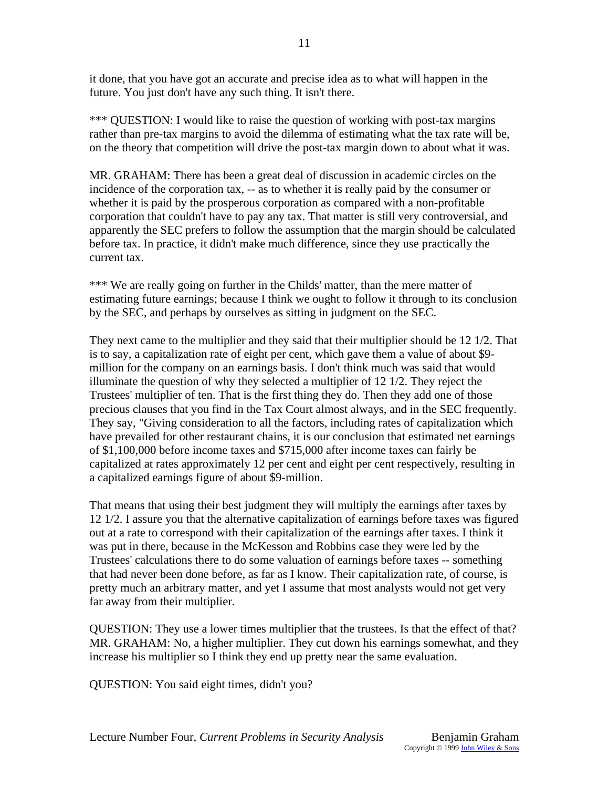it done, that you have got an accurate and precise idea as to what will happen in the future. You just don't have any such thing. It isn't there.

\*\*\* QUESTION: I would like to raise the question of working with post-tax margins rather than pre-tax margins to avoid the dilemma of estimating what the tax rate will be, on the theory that competition will drive the post-tax margin down to about what it was.

MR. GRAHAM: There has been a great deal of discussion in academic circles on the incidence of the corporation tax, -- as to whether it is really paid by the consumer or whether it is paid by the prosperous corporation as compared with a non-profitable corporation that couldn't have to pay any tax. That matter is still very controversial, and apparently the SEC prefers to follow the assumption that the margin should be calculated before tax. In practice, it didn't make much difference, since they use practically the current tax.

\*\*\* We are really going on further in the Childs' matter, than the mere matter of estimating future earnings; because I think we ought to follow it through to its conclusion by the SEC, and perhaps by ourselves as sitting in judgment on the SEC.

They next came to the multiplier and they said that their multiplier should be 12 1/2. That is to say, a capitalization rate of eight per cent, which gave them a value of about \$9 million for the company on an earnings basis. I don't think much was said that would illuminate the question of why they selected a multiplier of 12 1/2. They reject the Trustees' multiplier of ten. That is the first thing they do. Then they add one of those precious clauses that you find in the Tax Court almost always, and in the SEC frequently. They say, "Giving consideration to all the factors, including rates of capitalization which have prevailed for other restaurant chains, it is our conclusion that estimated net earnings of \$1,100,000 before income taxes and \$715,000 after income taxes can fairly be capitalized at rates approximately 12 per cent and eight per cent respectively, resulting in a capitalized earnings figure of about \$9-million.

That means that using their best judgment they will multiply the earnings after taxes by 12 1/2. I assure you that the alternative capitalization of earnings before taxes was figured out at a rate to correspond with their capitalization of the earnings after taxes. I think it was put in there, because in the McKesson and Robbins case they were led by the Trustees' calculations there to do some valuation of earnings before taxes -- something that had never been done before, as far as I know. Their capitalization rate, of course, is pretty much an arbitrary matter, and yet I assume that most analysts would not get very far away from their multiplier.

QUESTION: They use a lower times multiplier that the trustees. Is that the effect of that? MR. GRAHAM: No, a higher multiplier. They cut down his earnings somewhat, and they increase his multiplier so I think they end up pretty near the same evaluation.

QUESTION: You said eight times, didn't you?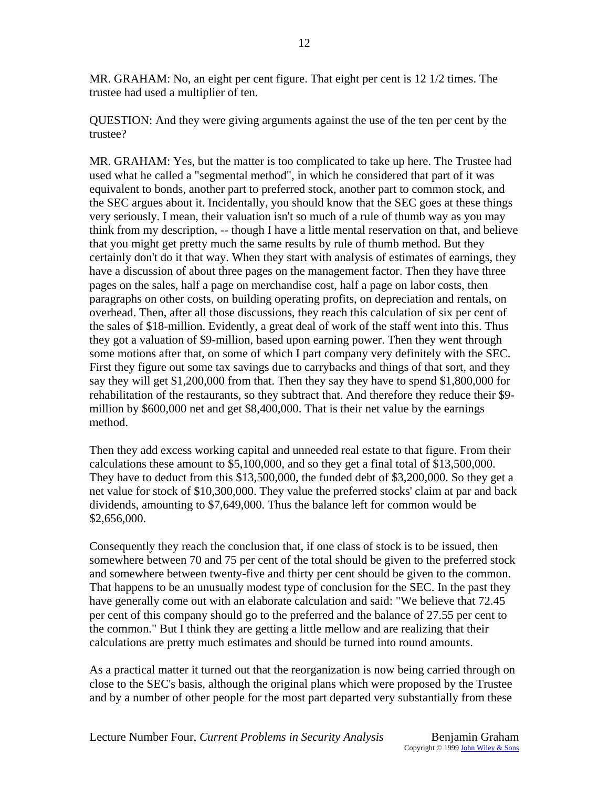MR. GRAHAM: No, an eight per cent figure. That eight per cent is 12 1/2 times. The trustee had used a multiplier of ten.

QUESTION: And they were giving arguments against the use of the ten per cent by the trustee?

MR. GRAHAM: Yes, but the matter is too complicated to take up here. The Trustee had used what he called a "segmental method", in which he considered that part of it was equivalent to bonds, another part to preferred stock, another part to common stock, and the SEC argues about it. Incidentally, you should know that the SEC goes at these things very seriously. I mean, their valuation isn't so much of a rule of thumb way as you may think from my description, -- though I have a little mental reservation on that, and believe that you might get pretty much the same results by rule of thumb method. But they certainly don't do it that way. When they start with analysis of estimates of earnings, they have a discussion of about three pages on the management factor. Then they have three pages on the sales, half a page on merchandise cost, half a page on labor costs, then paragraphs on other costs, on building operating profits, on depreciation and rentals, on overhead. Then, after all those discussions, they reach this calculation of six per cent of the sales of \$18-million. Evidently, a great deal of work of the staff went into this. Thus they got a valuation of \$9-million, based upon earning power. Then they went through some motions after that, on some of which I part company very definitely with the SEC. First they figure out some tax savings due to carrybacks and things of that sort, and they say they will get \$1,200,000 from that. Then they say they have to spend \$1,800,000 for rehabilitation of the restaurants, so they subtract that. And therefore they reduce their \$9 million by \$600,000 net and get \$8,400,000. That is their net value by the earnings method.

Then they add excess working capital and unneeded real estate to that figure. From their calculations these amount to \$5,100,000, and so they get a final total of \$13,500,000. They have to deduct from this \$13,500,000, the funded debt of \$3,200,000. So they get a net value for stock of \$10,300,000. They value the preferred stocks' claim at par and back dividends, amounting to \$7,649,000. Thus the balance left for common would be \$2,656,000.

Consequently they reach the conclusion that, if one class of stock is to be issued, then somewhere between 70 and 75 per cent of the total should be given to the preferred stock and somewhere between twenty-five and thirty per cent should be given to the common. That happens to be an unusually modest type of conclusion for the SEC. In the past they have generally come out with an elaborate calculation and said: "We believe that 72.45 per cent of this company should go to the preferred and the balance of 27.55 per cent to the common." But I think they are getting a little mellow and are realizing that their calculations are pretty much estimates and should be turned into round amounts.

As a practical matter it turned out that the reorganization is now being carried through on close to the SEC's basis, although the original plans which were proposed by the Trustee and by a number of other people for the most part departed very substantially from these